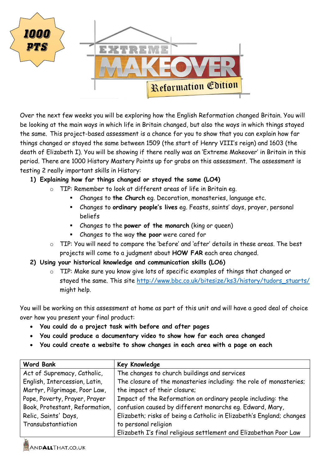

Over the next few weeks you will be exploring how the English Reformation changed Britain. You will be looking at the main ways in which life in Britain changed, but also the ways in which things stayed the same. This project-based assessment is a chance for you to show that you can explain how far things changed or stayed the same between 1509 (the start of Henry VIII's reign) and 1603 (the death of Elizabeth I). You will be showing if there really was an 'Extreme Makeover' in Britain in this period. There are 1000 History Mastery Points up for grabs on this assessment. The assessment is testing 2 really important skills in History:

#### **1) Explaining how far things changed or stayed the same (LO4)**

- o TIP: Remember to look at different areas of life in Britain eg.
	- Changes to **the Church** eg. Decoration, monasteries, language etc.
	- Changes to **ordinary people's lives** eg. Feasts, saints' days, prayer, personal beliefs
	- Changes to the **power of the monarch** (king or queen)
	- Changes to the way **the poor** were cared for
- o TIP: You will need to compare the 'before' and 'after' details in these areas. The best projects will come to a judgment about **HOW FAR** each area changed.
- **2) Using your historical knowledge and communication skills (LO6)**
	- o TIP: Make sure you know give lots of specific examples of things that changed or stayed the same. This site [http://www.bbc.co.uk/bitesize/ks3/history/tudors\\_stuarts/](http://www.bbc.co.uk/bitesize/ks3/history/tudors_stuarts/) might help.

You will be working on this assessment at home as part of this unit and will have a good deal of choice over how you present your final product:

- **You could do a project task with before and after pages**
- **You could produce a documentary video to show how far each area changed**
- **You could create a website to show changes in each area with a page on each**

| <b>Word Bank</b>               | Key Knowledge                                                        |
|--------------------------------|----------------------------------------------------------------------|
| Act of Supremacy, Catholic,    | The changes to church buildings and services                         |
| English, Intercession, Latin,  | The closure of the monasteries including: the role of monasteries;   |
| Martyr, Pilgrimage, Poor Law,  | the impact of their closure;                                         |
| Pope, Poverty, Prayer, Prayer  | Impact of the Reformation on ordinary people including: the          |
| Book, Protestant, Reformation, | confusion caused by different monarchs eg. Edward, Mary,             |
| Relic, Saints' Days,           | Elizabeth; risks of being a Catholic in Elizabeth's England; changes |
| Transubstantiation             | to personal religion                                                 |
|                                | Elizabeth I's final religious settlement and Elizabethan Poor Law    |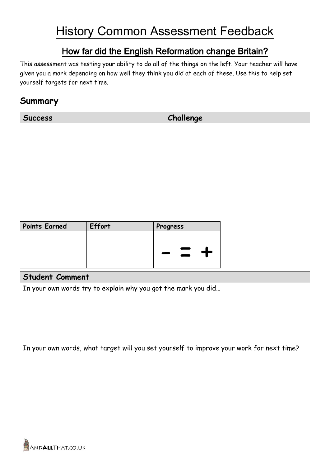## How far did the English Reformation change Britain?

This assessment was testing your ability to do all of the things on the left. Your teacher will have given you a mark depending on how well they think you did at each of these. Use this to help set yourself targets for next time.

### **Summary**

| <b>Success</b> | Challenge |
|----------------|-----------|
|                |           |
|                |           |
|                |           |
|                |           |
|                |           |
|                |           |
|                |           |
|                |           |

| <b>Points Earned</b> | Effort | Progress         |
|----------------------|--------|------------------|
|                      |        |                  |
|                      |        | <u>e de la c</u> |
|                      |        | and the          |
|                      |        |                  |

#### **Student Comment**

In your own words try to explain why you got the mark you did…

In your own words, what target will you set yourself to improve your work for next time?